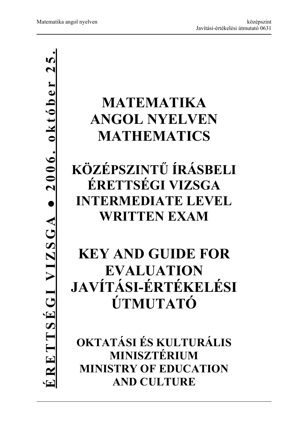# **MATEMATIKA ANGOL NYELVEN MATHEMATICS KÖZÉPSZINTŰ ÍRÁSBELI ÉRETTSÉGI VIZSGA**

**INTERMEDIATE LEVEL WRITTEN EXAM** 

# **KEY AND GUIDE FOR EVALUATION JAVÍTÁSI-ÉRTÉKELÉSI ÚTMUTATÓ**

**OKTATÁSI ÉS KULTURÁLIS MINISZTÉRIUM MINISTRY OF EDUCATION AND CULTURE**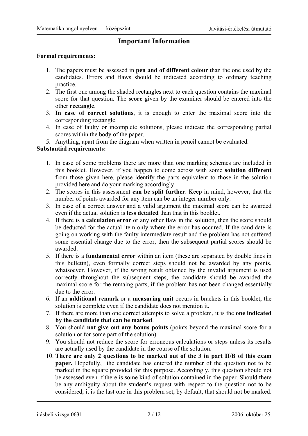### **Important Information**

#### **Formal requirements:**

- 1. The papers must be assessed in **pen and of different colour** than the one used by the candidates. Errors and flaws should be indicated according to ordinary teaching practice.
- 2. The first one among the shaded rectangles next to each question contains the maximal score for that question. The **score** given by the examiner should be entered into the other **rectangle**.
- 3. **In case of correct solutions**, it is enough to enter the maximal score into the corresponding rectangle.
- 4. In case of faulty or incomplete solutions, please indicate the corresponding partial scores within the body of the paper.
- 5. Anything, apart from the diagram when written in pencil cannot be evaluated.

#### **Substantial requirements:**

- 1. In case of some problems there are more than one marking schemes are included in this booklet. However, if you happen to come across with some **solution different** from those given here, please identify the parts equivalent to those in the solution provided here and do your marking accordingly.
- 2. The scores in this assessment **can be split further**. Keep in mind, however, that the number of points awarded for any item can be an integer number only.
- 3. In case of a correct answer and a valid argument the maximal score can be awarded even if the actual solution is **less detailed** than that in this booklet.
- 4. If there is a **calculation error** or any other flaw in the solution, then the score should be deducted for the actual item only where the error has occured. If the candidate is going on working with the faulty intermediate result and the problem has not suffered some essential change due to the error, then the subsequent partial scores should be awarded.
- 5. If there is a **fundamental error** within an item (these are separated by double lines in this bulletin), even formally correct steps should not be awarded by any points, whatsoever. However, if the wrong result obtained by the invalid argument is used correctly throughout the subsequent steps, the candidate should be awarded the maximal score for the remaing parts, if the problem has not been changed essentially due to the error.
- 6. If an **additional remark** or a **measuring unit** occurs in brackets in this booklet, the solution is complete even if the candidate does not mention it.
- 7. If there are more than one correct attempts to solve a problem, it is the **one indicated by the candidate that can be marked**.
- 8. You should **not give out any bonus points** (points beyond the maximal score for a solution or for some part of the solution).
- 9. You should not reduce the score for erroneous calculations or steps unless its results are actually used by the candidate in the course of the solution.
- 10. **There are only 2 questions to be marked out of the 3 in part II/B of this exam paper.** Hopefully, the candidate has entered the number of the question not to be marked in the square provided for this purpose. Accordingly, this question should not be assessed even if there is some kind of solution contained in the paper. Should there be any ambiguity about the student's request with respect to the question not to be considered, it is the last one in this problem set, by default, that should not be marked.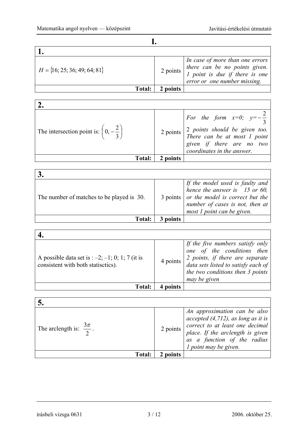|  | v       |  |
|--|---------|--|
|  | ×<br>۰. |  |

| $H = \{16; 25; 36; 49; 64; 81\}$ |          | In case of more than one errors<br>2 points $\begin{vmatrix} there \ can \ be \ no \ points \ given \end{vmatrix}$ interval the non-points given.<br>error or one number missing. |
|----------------------------------|----------|-----------------------------------------------------------------------------------------------------------------------------------------------------------------------------------|
| <b>Total:</b>                    | 2 points |                                                                                                                                                                                   |

| The intersection point is: $\left(0, -\frac{2}{3}\right)$ |          | For the form $x=0$ ; $y=-\frac{2}{3}$<br>2 points $\begin{bmatrix} 2 & points & should & be & given & too. \\ There & can & be & at & most & 1 & point \\ given & if & there & are & no & twocoordinates in the answer. \end{bmatrix}$ |
|-----------------------------------------------------------|----------|----------------------------------------------------------------------------------------------------------------------------------------------------------------------------------------------------------------------------------------|
| <b>Total:</b>                                             | 2 points |                                                                                                                                                                                                                                        |

| The number of matches to be played is 30. |        | $\begin{array}{c c} \n3 \text{ points} \n\end{array}$ If the model used is faulty and hence the answer is 15 or 60,<br>3 points or the model is correct but the<br>number of cases is not, then at<br>most I point can be given. |
|-------------------------------------------|--------|----------------------------------------------------------------------------------------------------------------------------------------------------------------------------------------------------------------------------------|
| <b>Total:</b>                             | points |                                                                                                                                                                                                                                  |

| A possible data set is : $-2$ ; $-1$ ; 0; 1; 7 (it is<br>consistent with both statisctics). | 4 points | If the five numbers satisfy only<br>one of the conditions then<br>2 points, if there are separate<br>data sets listed to satisfy each of<br>the two conditions then 3 points<br>may be given |
|---------------------------------------------------------------------------------------------|----------|----------------------------------------------------------------------------------------------------------------------------------------------------------------------------------------------|
| <b>Total:</b>                                                                               | noints   |                                                                                                                                                                                              |

| The arclength is: $\frac{3\pi}{2}$ . |        | An approximation can be also<br>accepted $(4,712)$ , as long as it is<br>2 points<br>$2 \text{ points}$<br>$\begin{array}{c}\n2 \text{ points} \\ \text{correct to at least one decimal} \\ \text{place. If the arclength is given} \\ \text{as a function of the radius} \\ \text{1 point may be given.}\n\end{array}$ |
|--------------------------------------|--------|-------------------------------------------------------------------------------------------------------------------------------------------------------------------------------------------------------------------------------------------------------------------------------------------------------------------------|
| <b>Total:</b>                        | noints |                                                                                                                                                                                                                                                                                                                         |

írásbeli vizsga 0631 3 / 12 2006. október 25.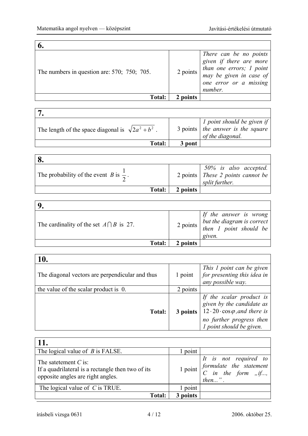| The numbers in question are: $570$ ; $750$ ; $705$ . | 2 points | There can be no points<br>given if there are more<br>than one errors; 1 point<br>may be given in case of<br>one error or a missing<br>number. |
|------------------------------------------------------|----------|-----------------------------------------------------------------------------------------------------------------------------------------------|
| <b>Total:</b>                                        | 2 points |                                                                                                                                               |

| The length of the space diagonal is $\sqrt{2a^2 + b^2}$ |        | <i>l</i> point should be given if<br>$3$ points   the answer is the square<br>of the diagonal. |
|---------------------------------------------------------|--------|------------------------------------------------------------------------------------------------|
| <b>Total:</b>                                           | 3 pont |                                                                                                |

| The probability of the event B is $\frac{1}{2}$ . |          | $2 \text{ points}$ $50\%$ is also accepted.<br>2 points <i>These 2 points cannot be</i><br>split further. |
|---------------------------------------------------|----------|-----------------------------------------------------------------------------------------------------------|
| Total:                                            | 2 points |                                                                                                           |

| 9                                            |        |                    |                                                                                          |
|----------------------------------------------|--------|--------------------|------------------------------------------------------------------------------------------|
| The cardinality of the set $A \cap B$ is 27. |        | $2$ points $\vert$ | If the answer is wrong<br>but the diagram is correct<br>then 1 point should be<br>given. |
|                                              | Total: | 2 points           |                                                                                          |

| 10.                                             |          |                                                                                                                                                                  |
|-------------------------------------------------|----------|------------------------------------------------------------------------------------------------------------------------------------------------------------------|
| The diagonal vectors are perpendicular and thus | 1 point  | This 1 point can be given<br>for presenting this idea in<br>any possible way.                                                                                    |
| the value of the scalar product is 0.           | 2 points |                                                                                                                                                                  |
| <b>Total:</b>                                   | 3 points | If the scalar product is<br>given by the candidate as<br>$12 \cdot 20 \cdot \cos \varphi$ , and there is<br>no further progress then<br>1 point should be given. |

| The logical value of $B$ is FALSE.                                                                                | point    |                                                                                                                                                                                                                                                                          |
|-------------------------------------------------------------------------------------------------------------------|----------|--------------------------------------------------------------------------------------------------------------------------------------------------------------------------------------------------------------------------------------------------------------------------|
| The sate tement $C$ is:<br>If a quadrilateral is a rectangle then two of its<br>opposite angles are right angles. |          | $\begin{array}{ l l } \hline & \text{if} & \text{is} & \text{not} & \text{required} & \text{to} \\ \hline & \text{formula} & \text{the} & \text{statement} \\ \hline & \text{C} & \text{in} & \text{the} & \text{form} & \text{., if} \\ \hline \end{array}$<br>$then$ " |
| The logical value of $C$ is TRUE.                                                                                 | point    |                                                                                                                                                                                                                                                                          |
| Total:                                                                                                            | 3 points |                                                                                                                                                                                                                                                                          |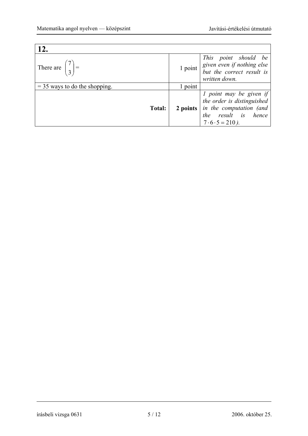| 12.                             |         |                                                                                                                                                                                |
|---------------------------------|---------|--------------------------------------------------------------------------------------------------------------------------------------------------------------------------------|
| There are $\binom{7}{3}$ =      |         | This point should be<br>1 point given even if nothing else<br>1 but the correct result is<br>written down.                                                                     |
| $=$ 35 ways to do the shopping. | 1 point |                                                                                                                                                                                |
| Total:                          |         | <i>l</i> point may be given if<br>the order is distinguished<br>2 points in the computation (and the result is hence $\begin{bmatrix} 7 \cdot 6 \cdot 5 = 210 \end{bmatrix}$ . |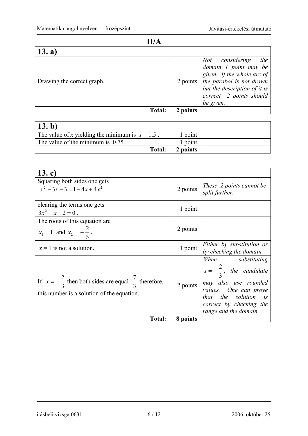# **II/A**

| Total:                     | 2 points | be given.                                                                                                                                                                      |
|----------------------------|----------|--------------------------------------------------------------------------------------------------------------------------------------------------------------------------------|
| Drawing the correct graph. |          | Not considering the<br>domain I point may be<br>given. If the whole arc of<br>$2$ points   the parabol is not drawn<br>but the description of it is<br>correct 2 points should |
| 13. $a$                    |          |                                                                                                                                                                                |

| (13. b)                                            |          |  |
|----------------------------------------------------|----------|--|
| The value of x yielding the minimum is $x = 1.5$ . | point    |  |
| The value of the minimum is 0.75.                  | point    |  |
| Total:                                             | 2 points |  |

| 13.c)                                                                                                                  |          |                                                                                                                                                                                    |
|------------------------------------------------------------------------------------------------------------------------|----------|------------------------------------------------------------------------------------------------------------------------------------------------------------------------------------|
| Squaring both sides one gets<br>$x^2-3x+3=1-4x+4x^2$                                                                   | 2 points | These 2 points cannot be<br>split further.                                                                                                                                         |
| clearing the terms one gets<br>$3x^2 - x - 2 = 0$ .                                                                    | 1 point  |                                                                                                                                                                                    |
| The roots of this equation are<br>$x_1 = 1$ and $x_2 = -\frac{2}{3}$ .                                                 | 2 points |                                                                                                                                                                                    |
| $x = 1$ is not a solution.                                                                                             | 1 point  | Either by substitution or<br>by checking the domain.                                                                                                                               |
| If $x = -\frac{2}{3}$ then both sides are equal $\frac{7}{3}$ therefore,<br>this number is a solution of the equation. | 2 points | When substituting<br>$x=-\frac{2}{3}$ , the candidate<br>may also use rounded<br>values. One can prove<br>that the solution is<br>correct by checking the<br>range and the domain. |
| <b>Total:</b>                                                                                                          | 8 points |                                                                                                                                                                                    |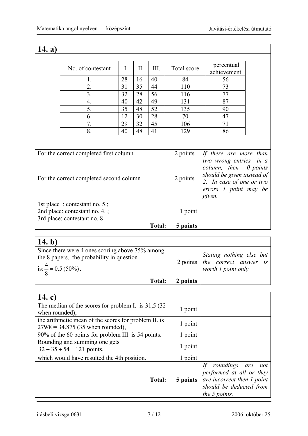÷

| 14. $a)$ |                                         |    |     |               |             |                                                                                                                                              |
|----------|-----------------------------------------|----|-----|---------------|-------------|----------------------------------------------------------------------------------------------------------------------------------------------|
|          | No. of contestant                       | L  | II. | Ш.            | Total score | percentual<br>achievement                                                                                                                    |
|          | 1.                                      | 28 | 16  | 40            | 84          | 56                                                                                                                                           |
|          | 2.                                      | 31 | 35  | 44            | 110         | 73                                                                                                                                           |
|          | 3.                                      | 32 | 28  | 56            | 116         | 77                                                                                                                                           |
|          | 4.                                      | 40 | 42  | 49            | 131         | 87                                                                                                                                           |
|          | 5.                                      | 35 | 48  | 52            | 135         | 90                                                                                                                                           |
|          | 6.                                      | 12 | 30  | 28            | 70          | 47                                                                                                                                           |
|          | 7.                                      | 29 | 32  | 45            | 106         | 71                                                                                                                                           |
|          | 8.                                      | 40 | 48  | 41            | 129         | 86                                                                                                                                           |
|          |                                         |    |     |               |             |                                                                                                                                              |
|          | For the correct completed first column  |    |     |               | 2 points    | If there are more than                                                                                                                       |
|          | For the correct completed second column |    |     |               | 2 points    | two wrong entries in a<br>column, then 0 points<br>should be given instead of<br>2. In case of one or two<br>errors 1 point may be<br>given. |
|          | 1st place: contestant no. 5.;           |    |     |               |             |                                                                                                                                              |
|          | 2nd place: contestant no. 4.;           |    |     |               | 1 point     |                                                                                                                                              |
|          | 3rd place: contestant no. 8.            |    |     |               |             |                                                                                                                                              |
|          |                                         |    |     | <b>Total:</b> | 5 points    |                                                                                                                                              |

| 14. b)                                                                                                                         |          |                                                                                                                                     |
|--------------------------------------------------------------------------------------------------------------------------------|----------|-------------------------------------------------------------------------------------------------------------------------------------|
| Since there were 4 ones scoring above 75% among<br>the 8 papers, the probability in question<br>is: $\frac{4}{8}$ = 0.5 (50%). |          | $2 points \begin{vmatrix} \textit{Stating nothing else but} \\ \textit{the correct answer is} \end{vmatrix}$<br>worth 1 point only. |
| Total:                                                                                                                         | 2 points |                                                                                                                                     |

| 14. c)                                                                                      |          |                                                                                                                                             |
|---------------------------------------------------------------------------------------------|----------|---------------------------------------------------------------------------------------------------------------------------------------------|
| The median of the scores for problem I. is $31,5$ (32)<br>when rounded),                    | 1 point  |                                                                                                                                             |
| the arithmetic mean of the scores for problem II. is<br>$279/8 = 34.875$ (35 when rounded), | 1 point  |                                                                                                                                             |
| 90% of the 60 points for problem III. is 54 points.                                         | 1 point  |                                                                                                                                             |
| Rounding and summing one gets<br>$32 + 35 + 54 = 121$ points,                               | 1 point  |                                                                                                                                             |
| which would have resulted the 4th position.                                                 | 1 point  |                                                                                                                                             |
| Total:                                                                                      | 5 points | roundings are<br>$\mathcal{H}$<br>not<br>performed at all or they<br>are incorrect then 1 point<br>should be deducted from<br>the 5 points. |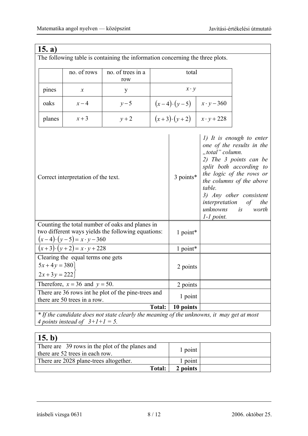| 15. a)                                                                                                                                         |                                    |                                                                                           |               |                                                                         |                                                                                                                                                                                                                                   |  |
|------------------------------------------------------------------------------------------------------------------------------------------------|------------------------------------|-------------------------------------------------------------------------------------------|---------------|-------------------------------------------------------------------------|-----------------------------------------------------------------------------------------------------------------------------------------------------------------------------------------------------------------------------------|--|
| The following table is containing the information concerning the three plots.                                                                  |                                    |                                                                                           |               |                                                                         |                                                                                                                                                                                                                                   |  |
|                                                                                                                                                | no. of rows                        | no. of trees in a<br>row                                                                  | total         |                                                                         |                                                                                                                                                                                                                                   |  |
| pines                                                                                                                                          | $\boldsymbol{x}$                   | y                                                                                         |               | $x \cdot y$                                                             |                                                                                                                                                                                                                                   |  |
| oaks                                                                                                                                           | $x-4$                              | $y-5$                                                                                     |               |                                                                         | $(x-4) \cdot (y-5)$ $\begin{array}{ c} x \cdot y - 360 \end{array}$                                                                                                                                                               |  |
| planes                                                                                                                                         | $x+3$                              | $y+2$                                                                                     |               |                                                                         | $\overline{(x+3)\cdot (y+2)}$ $\overline{x\cdot y+228}$                                                                                                                                                                           |  |
| Correct interpretation of the text.                                                                                                            |                                    |                                                                                           | 3 points*     | "total" column.<br>table.<br>interpretation<br>unknowns<br>$1-1$ point. | 1) It is enough to enter<br>one of the results in the<br>2) The 3 points can be<br>split both according to<br>the logic of the rows or<br>the columns of the above<br>3) Any other consistent<br>the<br>$\sigma f$<br>is<br>worth |  |
| Counting the total number of oaks and planes in<br>two different ways yields the following equations:<br>$(x-4) \cdot (y-5) = x \cdot y - 360$ |                                    | 1 point*                                                                                  |               |                                                                         |                                                                                                                                                                                                                                   |  |
|                                                                                                                                                | $(x+3)\cdot(y+2) = x\cdot y + 228$ |                                                                                           |               | 1 point*                                                                |                                                                                                                                                                                                                                   |  |
| Clearing the equal terms one gets<br>$5x+4y=380$<br>$2x+3y = 222$                                                                              |                                    |                                                                                           | 2 points      |                                                                         |                                                                                                                                                                                                                                   |  |
| Therefore, $x = 36$ and $y = 50$ .                                                                                                             |                                    |                                                                                           | 2 points      |                                                                         |                                                                                                                                                                                                                                   |  |
|                                                                                                                                                | there are 50 trees in a row.       | There are 36 rows int he plot of the pine-trees and                                       |               | 1 point                                                                 |                                                                                                                                                                                                                                   |  |
|                                                                                                                                                |                                    |                                                                                           | <b>Total:</b> | 10 points                                                               |                                                                                                                                                                                                                                   |  |
|                                                                                                                                                | 4 points instead of $3+1+1=5$ .    | * If the candidate does not state clearly the meaning of the unknowns, it may get at most |               |                                                                         |                                                                                                                                                                                                                                   |  |

| 15. b)                                                                             |          |  |
|------------------------------------------------------------------------------------|----------|--|
| There are 39 rows in the plot of the planes and<br>there are 52 trees in each row. | 1 point  |  |
| There are 2028 plane-trees altogether.                                             | 1 point  |  |
| Total:                                                                             | 2 points |  |

írásbeli vizsga 0631 8 / 12 2006. október 25.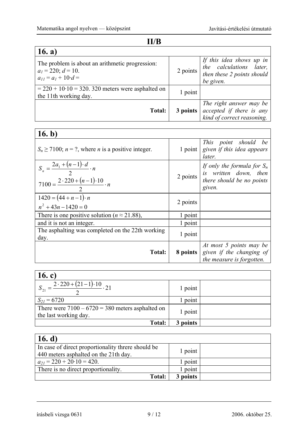7

## **II/B**

| 16. a)                                                                                                       |          |                                                                                                                                                      |
|--------------------------------------------------------------------------------------------------------------|----------|------------------------------------------------------------------------------------------------------------------------------------------------------|
| The problem is about an arithmetic progression:<br>$a_1 = 220$ ; $d = 10$ .<br>$a_{11} = a_1 + 10 \cdot d =$ | 2 points | If this idea shows up in<br>the calculations later,<br>then these 2 points should<br>be given.                                                       |
| $= 220 + 10.10 = 320$ . 320 meters were asphalted on<br>the 11 <sup>th</sup> working day.                    | 1 point  |                                                                                                                                                      |
| <b>Total:</b>                                                                                                |          | The right answer may be<br><b>3 points</b> $\begin{cases} \text{accepted} & \text{if there is any} \\ \text{kind of correct reasoning.} \end{cases}$ |

| 16. b)                                                                                                    |          |                                                                                               |
|-----------------------------------------------------------------------------------------------------------|----------|-----------------------------------------------------------------------------------------------|
| $S_n \ge 7100$ ; $n = ?$ , where <i>n</i> is a positive integer.                                          |          | This point should be<br>1 point $\vert$ given if this idea appears<br>later.                  |
| $S_n = \frac{2a_1 + (n-1) \cdot d}{2} \cdot n$<br>7100 = $\frac{2 \cdot 220 + (n-1) \cdot 10}{2} \cdot n$ | 2 points | If only the formula for $S_n$<br>is written down, then<br>there should be no points<br>given. |
| $1420 = (44 + n - 1) \cdot n$<br>$n^2 + 43n - 1420 = 0$                                                   | 2 points |                                                                                               |
| There is one positive solution ( $n \approx 21.88$ ),                                                     | 1 point  |                                                                                               |
| and it is not an integer.                                                                                 | 1 point  |                                                                                               |
| The asphalting was completed on the 22th working<br>day.                                                  | 1 point  |                                                                                               |
| <b>Total:</b>                                                                                             | 8 points | At most 5 points may be<br>given if the changing of<br>the measure is forgotten.              |

| 16. c)                                                                      |          |  |
|-----------------------------------------------------------------------------|----------|--|
| $2 \cdot 220 + (21 - 1) \cdot 10$ .                                         | 1 point  |  |
| $S_{21} = 6720$                                                             | l point  |  |
| There were $7100 - 6720 = 380$ meters asphalted on<br>the last working day. | 1 point  |  |
| <b>Total:</b>                                                               | 3 points |  |

| $\vert$ 16. d)                                                                              |          |  |
|---------------------------------------------------------------------------------------------|----------|--|
| In case of direct proportionality threre should be<br>440 meters asphalted on the 21th day. | 1 point  |  |
| $a_{21} = 220 + 20.10 = 420.$                                                               | 1 point  |  |
| There is no direct proportionality.                                                         | point    |  |
| Total:                                                                                      | 3 points |  |

írásbeli vizsga 0631 9 / 12 2006. október 25.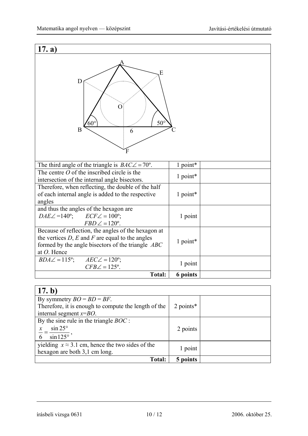| Е<br>D<br>$50^\circ$<br>$60^\circ$<br>B<br>6<br>1 point*<br>The third angle of the triangle is $BAC\angle = 70^{\circ}$ .<br>The centre $O$ of the inscribed circle is the<br>1 point*<br>intersection of the internal angle bisectors.<br>Therefore, when reflecting, the double of the half<br>of each internal angle is added to the respective<br>1 point*<br>angles<br>and thus the angles of the hexagon are<br>$DAE\angle=140^{\circ}$ ;<br>$ECF\angle = 100^\circ$ ;<br>1 point<br>$FBD \angle = 120^\circ$ .<br>Because of reflection, the angles of the hexagon at<br>the vertices $D$ , $E$ and $F$ are equal to the angles<br>1 point*<br>formed by the angle bisectors of the triangle ABC<br>at O. Hence | 17. a)                                                  |         |  |
|------------------------------------------------------------------------------------------------------------------------------------------------------------------------------------------------------------------------------------------------------------------------------------------------------------------------------------------------------------------------------------------------------------------------------------------------------------------------------------------------------------------------------------------------------------------------------------------------------------------------------------------------------------------------------------------------------------------------|---------------------------------------------------------|---------|--|
|                                                                                                                                                                                                                                                                                                                                                                                                                                                                                                                                                                                                                                                                                                                        |                                                         |         |  |
|                                                                                                                                                                                                                                                                                                                                                                                                                                                                                                                                                                                                                                                                                                                        |                                                         |         |  |
|                                                                                                                                                                                                                                                                                                                                                                                                                                                                                                                                                                                                                                                                                                                        |                                                         |         |  |
|                                                                                                                                                                                                                                                                                                                                                                                                                                                                                                                                                                                                                                                                                                                        |                                                         |         |  |
|                                                                                                                                                                                                                                                                                                                                                                                                                                                                                                                                                                                                                                                                                                                        |                                                         |         |  |
|                                                                                                                                                                                                                                                                                                                                                                                                                                                                                                                                                                                                                                                                                                                        |                                                         |         |  |
| $CFB\angle = 125^\circ$ .                                                                                                                                                                                                                                                                                                                                                                                                                                                                                                                                                                                                                                                                                              | $AEC\angle = 120^{\circ}$ ;<br>$BDA\angle = 115^\circ;$ | 1 point |  |
| <b>Total:</b><br>6 points                                                                                                                                                                                                                                                                                                                                                                                                                                                                                                                                                                                                                                                                                              |                                                         |         |  |

| (17. b)                                                 |              |  |
|---------------------------------------------------------|--------------|--|
| By symmetry $BO = BD = BF$ .                            |              |  |
| Therefore, it is enough to compute the length of the    | 2 points $*$ |  |
| internal segment $x=BO$ .                               |              |  |
| By the sine rule in the triangle $BOC$ :                |              |  |
| $\sin 25^\circ$                                         | 2 points     |  |
| $-\frac{1}{\sin 125^\circ}$                             |              |  |
| yielding $x \approx 3.1$ cm, hence the two sides of the | 1 point      |  |
| hexagon are both 3,1 cm long.                           |              |  |
| <b>Total:</b>                                           | 5 points     |  |

írásbeli vizsga 0631 10 / 12 2006. október 25.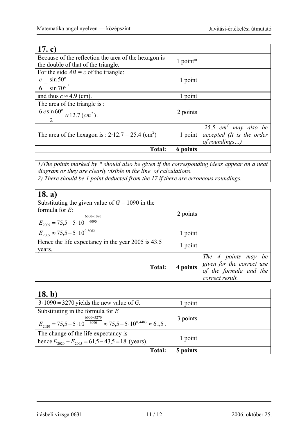| 17. c)                                                               |             |                                           |
|----------------------------------------------------------------------|-------------|-------------------------------------------|
| Because of the reflection the area of the hexagon is                 | 1 point $*$ |                                           |
| the double of that of the triangle.                                  |             |                                           |
| For the side $AB = c$ of the triangle:                               |             |                                           |
| $\sin 50^\circ$                                                      | 1 point     |                                           |
| $\frac{1}{6} = \frac{1}{\sin 70^{\circ}},$                           |             |                                           |
| and thus $c \approx 4.9$ (cm).                                       | 1 point     |                                           |
| The area of the triangle is:                                         |             |                                           |
| $\frac{6 \text{ c} \sin 60^{\circ}}{2} \approx 12.7 \text{ (cm}^2).$ | 2 points    |                                           |
|                                                                      |             |                                           |
|                                                                      |             | 25,5 $cm2$ may also be                    |
| The area of the hexagon is : $2.12.7 = 25.4$ (cm <sup>2</sup> )      |             | 1 point $\vert$ accepted (It is the order |
|                                                                      |             | of roundings)                             |
| <b>Total:</b>                                                        | 6 points    |                                           |

*1)The points marked by \* should also be given if the corresponding ideas appear on a neat diagram or they are clearly visible in the line of calculations. 2) There should be 1 point deducted from the 17 if there are erroneous roundings.* 

| 18. a)                                                                              |          |                                                                                               |
|-------------------------------------------------------------------------------------|----------|-----------------------------------------------------------------------------------------------|
| Substituting the given value of $G = 1090$ in the<br>formula for $E$ :<br>6000-1090 | 2 points |                                                                                               |
| 6090<br>$E_{2005} = 75,5-5\cdot 10$                                                 |          |                                                                                               |
| $E_{2005} \approx 75.5 - 5 \cdot 10^{0,8062}$                                       | 1 point  |                                                                                               |
| Hence the life expectancy in the year 2005 is 43.5<br>vears.                        | 1 point  |                                                                                               |
| <b>Total:</b>                                                                       | 4 points | The 4 points may be<br>given for the correct use<br>of the formula and the<br>correct result. |

| 18. b)                                                                                                                                             |          |  |
|----------------------------------------------------------------------------------------------------------------------------------------------------|----------|--|
| $3.1090 = 3270$ yields the new value of G.                                                                                                         | l point  |  |
| Substituting in the formula for $E$<br>$6000 - 3270$<br>$E_{2020} = 75.5 - 5 \cdot 10^{-6090}$ $\approx 75.5 - 5 \cdot 10^{0,4483} \approx 61.5$ . | 3 points |  |
| The change of the life expectancy is<br>hence $E_{2020} - E_{2005} = 61,5 - 43,5 = 18$ (years).                                                    | 1 point  |  |
| <b>Total:</b>                                                                                                                                      | 5 points |  |

írásbeli vizsga 0631 11 / 12 2006. október 25.